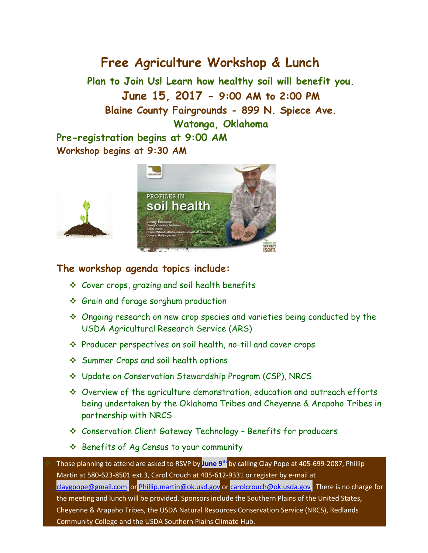## **Free Agriculture Workshop & Lunch**

**Plan to Join Us! Learn how healthy soil will benefit you. June 15, 2017 - 9:00 AM to 2:00 PM Blaine County Fairgrounds - 899 N. [Spiece Ave.](http://www.bing.com/local?lid=YN873x5467131667361850086&id=YN873x5467131667361850086&q=Blaine+County+Fairgrounds&name=Blaine+County+Fairgrounds&cp=35.8527526855469%7e-98.4054870605469&ppois=35.8527526855469_-98.4054870605469_Blaine+County+Fairgrounds&FORM=SNAPST) Watonga, Oklahoma Pre-registration begins at 9:00 AM**

**Workshop begins at 9:30 AM**



## **The workshop agenda topics include:**

- Cover crops, grazing and soil health benefits
- Grain and forage sorghum production
- Ongoing research on new crop species and varieties being conducted by the USDA Agricultural Research Service (ARS)
- Producer perspectives on soil health, no-till and cover crops
- Summer Crops and soil health options
- Update on Conservation Stewardship Program (CSP), NRCS
- Overview of the agriculture demonstration, education and outreach efforts being undertaken by the Oklahoma Tribes and Cheyenne & Arapaho Tribes in partnership with NRCS
- Conservation Client Gateway Technology Benefits for producers
- **Ex** Benefits of Ag Census to your community

 Those planning to attend are asked to RSVP by **June 9th** by calling Clay Pope at 405-699-2087, Phillip Martin at 580-623-8501 ext.3, Carol Crouch at 405-612-9331 or register by e-mail at [claygpope@gmail.com](mailto:claygpope@gmail.com) or [Phillip.martin@ok.usd.gov](mailto:Phillip.martin@ok.usd.gov) o[r carolcrouch@ok.usda.gov.](mailto:carolcrouch@ok.usda.gov) There is no charge for the meeting and lunch will be provided. Sponsors include the Southern Plains of the United States, Cheyenne & Arapaho Tribes, the USDA Natural Resources Conservation Service (NRCS), Redlands Community College and the USDA Southern Plains Climate Hub.